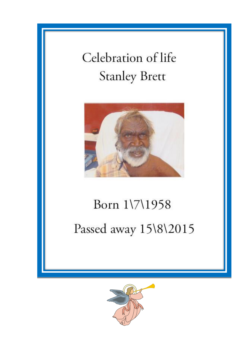Celebration of life **Stanley Brett** 



## Born 1\7\1958 Passed away 15\8\2015

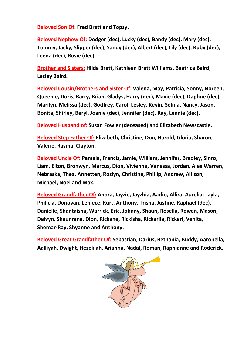**Beloved Son Of: Fred Brett and Topsy.**

**Beloved Nephew Of: Dodger (dec), Lucky (dec), Bandy (dec), Mary (dec), Tommy, Jacky, Slipper (dec), Sandy (dec), Albert (dec), Lily (dec), Ruby (dec), Leena (dec), Rosie (dec).**

**Brother and Sisters: Hilda Brett, Kathleen Brett Williams, Beatrice Baird, Lesley Baird.**

**Beloved Cousin/Brothers and Sister Of: Valena, May, Patricia, Sonny, Noreen, Queenie, Doris, Barry, Brian, Gladys, Harry (dec), Maxie (dec), Daphne (dec), Marilyn, Melissa (dec), Godfrey, Carol, Lesley, Kevin, Selma, Nancy, Jason, Bonita, Shirley, Beryl, Joanie (dec), Jennifer (dec), Ray, Lennie (dec).**

**Beloved Husband of: Susan Fowler (deceased) and Elizabeth Newscastle.**

**Beloved Step Father Of: Elizabeth, Christine, Don, Harold, Gloria, Sharon, Valerie, Rasma, Clayton.**

**Beloved Uncle Of: Pamela, Francis, Jamie, William, Jennifer, Bradley, Sinro, Liam, Elton, Bronwyn, Marcus, Dion, Vivienne, Vanessa, Jordan, Alex Warren, Nebraska, Thea, Annetten, Roslyn, Christine, Phillip, Andrew, Allison, Michael, Noel and Max.** 

**Beloved Grandfather Of: Anora, Jayzie, Jayzhia, Aarlio, Allira, Aurelia, Layla, Philicia, Donovan, Leniece, Kurt, Anthony, Trisha, Justine, Raphael (dec), Danielle, Shantaisha, Warrick, Eric, Johnny, Shaun, Rosella, Rowan, Mason, Delvyn, Shaunrana, Dion, Rickane, Rickisha, Rickarlia, Rickarl, Venita, Shemar-Ray, Shyanne and Anthony.**

**Beloved Great Grandfather Of: Sebastian, Darius, Bethania, Buddy, Aaronella, Aalliyah, Dwight, Hezekiah, Arianna, Nadal, Roman, Raphianne and Roderick.**

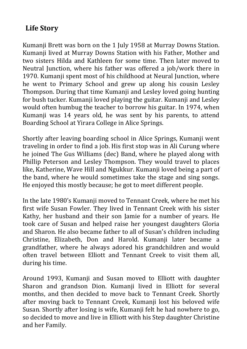## **Life Story**

Kumanji Brett was born on the 1 July 1958 at Murray Downs Station. Kumanji lived at Murray Downs Station with his Father, Mother and two sisters Hilda and Kathleen for some time. Then later moved to Neutral Junction, where his father was offered a job/work there in 1970. Kumanji spent most of his childhood at Neural Junction, where he went to Primary School and grew up along his cousin Lesley Thompson. During that time Kumanji and Lesley loved going hunting for bush tucker. Kumanji loved playing the guitar. Kumanji and Lesley would often humbug the teacher to borrow his guitar. In 1974, when Kumanji was 14 years old, he was sent by his parents, to attend Boarding School at Yirara College in Alice Springs.

Shortly after leaving boarding school in Alice Springs, Kumanji went traveling in order to find a job. His first stop was in Ali Curung where he joined The Gus Williams (dec) Band, where he played along with Phillip Peterson and Lesley Thompson. They would travel to places like, Katherine, Wave Hill and Ngukkur. Kumanji loved being a part of the band, where he would sometimes take the stage and sing songs. He enjoyed this mostly because; he got to meet different people.

In the late 1980's Kumanji moved to Tennant Creek, where he met his first wife Susan Fowler. They lived in Tennant Creek with his sister Kathy, her husband and their son Jamie for a number of years. He took care of Susan and helped raise her youngest daughters Gloria and Sharon. He also became father to all of Susan's children including Christine, Elizabeth, Don and Harold. Kumanji later became a grandfather, where he always adored his grandchildren and would often travel between Elliott and Tennant Creek to visit them all, during his time.

Around 1993, Kumanji and Susan moved to Elliott with daughter Sharon and grandson Dion. Kumanji lived in Elliott for several months, and then decided to move back to Tennant Creek. Shortly after moving back to Tennant Creek, Kumanji lost his beloved wife Susan. Shortly after losing is wife, Kumanji felt he had nowhere to go, so decided to move and live in Elliott with his Step daughter Christine and her Family.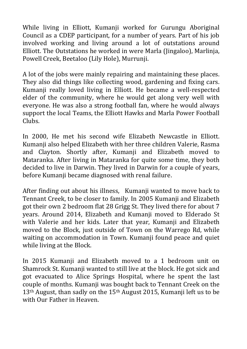While living in Elliott, Kumanji worked for Gurungu Aboriginal Council as a CDEP participant, for a number of years. Part of his job involved working and living around a lot of outstations around Elliott. The Outstations he worked in were Marla (Jingaloo), Marlinja, Powell Creek, Beetaloo (Lily Hole), Murrunji.

A lot of the jobs were mainly repairing and maintaining these places. They also did things like collecting wood, gardening and fixing cars. Kumanji really loved living in Elliott. He became a well-respected elder of the community, where he would get along very well with everyone. He was also a strong football fan, where he would always support the local Teams, the Elliott Hawks and Marla Power Football Clubs.

In 2000, He met his second wife Elizabeth Newcastle in Elliott. Kumanji also helped Elizabeth with her three children Valerie, Rasma and Clayton. Shortly after, Kumanji and Elizabeth moved to Mataranka. After living in Mataranka for quite some time, they both decided to live in Darwin. They lived in Darwin for a couple of years, before Kumanji became diagnosed with renal failure.

After finding out about his illness, Kumanji wanted to move back to Tennant Creek, to be closer to family. In 2005 Kumanji and Elizabeth got their own 2 bedroom flat 28 Grigg St. They lived there for about 7 years. Around 2014, Elizabeth and Kumanji moved to Elderado St with Valerie and her kids. Later that year, Kumanji and Elizabeth moved to the Block, just outside of Town on the Warrego Rd, while waiting on accommodation in Town. Kumanji found peace and quiet while living at the Block.

In 2015 Kumanji and Elizabeth moved to a 1 bedroom unit on Shamrock St. Kumanji wanted to still live at the block. He got sick and got evacuated to Alice Springs Hospital, where he spent the last couple of months. Kumanji was bought back to Tennant Creek on the 13th August, than sadly on the 15th August 2015, Kumanji left us to be with Our Father in Heaven.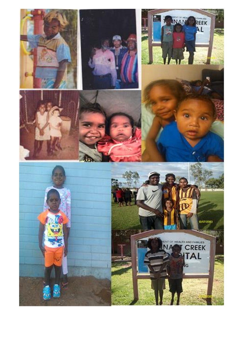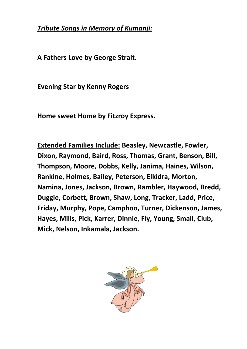## *Tribute Songs in Memory of Kumanji:*

**A Fathers Love by George Strait.**

**Evening Star by Kenny Rogers**

**Home sweet Home by Fitzroy Express.**

**Extended Families Include: Beasley, Newcastle, Fowler, Dixon, Raymond, Baird, Ross, Thomas, Grant, Benson, Bill, Thompson, Moore, Dobbs, Kelly, Janima, Haines, Wilson, Rankine, Holmes, Bailey, Peterson, Elkidra, Morton, Namina, Jones, Jackson, Brown, Rambler, Haywood, Bredd, Duggie, Corbett, Brown, Shaw, Long, Tracker, Ladd, Price, Friday, Murphy, Pope, Camphoo, Turner, Dickenson, James, Hayes, Mills, Pick, Karrer, Dinnie, Fly, Young, Small, Club, Mick, Nelson, Inkamala, Jackson.**

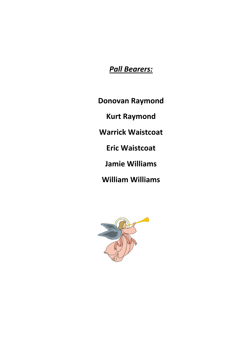*Pall Bearers:*

**Donovan Raymond Kurt Raymond Warrick Waistcoat Eric Waistcoat Jamie Williams William Williams**